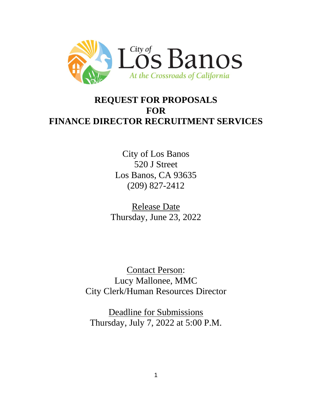

# **REQUEST FOR PROPOSALS FOR FINANCE DIRECTOR RECRUITMENT SERVICES**

City of Los Banos 520 J Street Los Banos, CA 93635 (209) 827-2412

Release Date Thursday, June 23, 2022

Contact Person: Lucy Mallonee, MMC City Clerk/Human Resources Director

Deadline for Submissions Thursday, July 7, 2022 at 5:00 P.M.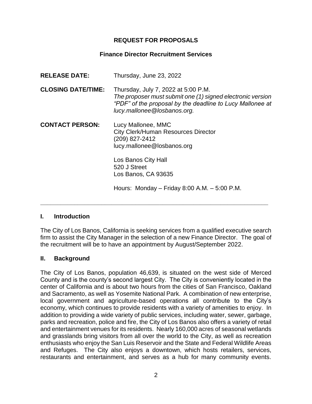## **REQUEST FOR PROPOSALS**

#### **Finance Director Recruitment Services**

| <b>RELEASE DATE:</b>      | Thursday, June 23, 2022                                                                                                                                                                       |
|---------------------------|-----------------------------------------------------------------------------------------------------------------------------------------------------------------------------------------------|
| <b>CLOSING DATE/TIME:</b> | Thursday, July 7, 2022 at 5:00 P.M.<br>The proposer must submit one (1) signed electronic version<br>"PDF" of the proposal by the deadline to Lucy Mallonee at<br>lucy.mallonee@losbanos.org. |
| <b>CONTACT PERSON:</b>    | Lucy Mallonee, MMC<br><b>City Clerk/Human Resources Director</b><br>(209) 827-2412<br>lucy.mallonee@losbanos.org                                                                              |
|                           | Los Banos City Hall<br>520 J Street<br>Los Banos, CA 93635                                                                                                                                    |
|                           | Hours: Monday – Friday 8:00 A.M. – 5:00 P.M.                                                                                                                                                  |

#### **I. Introduction**

The City of Los Banos, California is seeking services from a qualified executive search firm to assist the City Manager in the selection of a new Finance Director. The goal of the recruitment will be to have an appointment by August/September 2022.

**\_\_\_\_\_\_\_\_\_\_\_\_\_\_\_\_\_\_\_\_\_\_\_\_\_\_\_\_\_\_\_\_\_\_\_\_\_\_\_\_\_\_\_\_\_\_\_\_\_\_\_\_\_\_\_\_\_\_\_\_\_\_\_\_\_\_\_**

#### **II. Background**

The City of Los Banos, population 46,639, is situated on the west side of Merced County and is the county's second largest City. The City is conveniently located in the center of California and is about two hours from the cities of San Francisco, Oakland and Sacramento, as well as Yosemite National Park. A combination of new enterprise, local government and agriculture-based operations all contribute to the City's economy, which continues to provide residents with a variety of amenities to enjoy. In addition to providing a wide variety of public services, including water, sewer, garbage, parks and recreation, police and fire, the City of Los Banos also offers a variety of retail and entertainment venues for its residents. Nearly 160,000 acres of seasonal wetlands and grasslands bring visitors from all over the world to the City, as well as recreation enthusiasts who enjoy the San Luis Reservoir and the State and Federal Wildlife Areas and Refuges. The City also enjoys a downtown, which hosts retailers, services, restaurants and entertainment, and serves as a hub for many community events.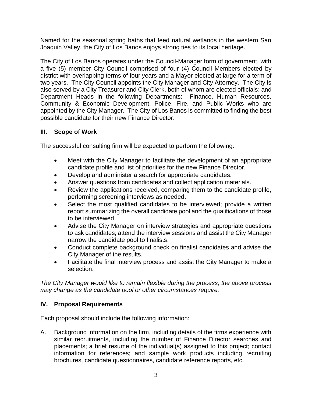Named for the seasonal spring baths that feed natural wetlands in the western San Joaquin Valley, the City of Los Banos enjoys strong ties to its local heritage.

The City of Los Banos operates under the Council-Manager form of government, with a five (5) member City Council comprised of four (4) Council Members elected by district with overlapping terms of four years and a Mayor elected at large for a term of two years. The City Council appoints the City Manager and City Attorney. The City is also served by a City Treasurer and City Clerk, both of whom are elected officials; and Department Heads in the following Departments: Finance, Human Resources, Community & Economic Development, Police, Fire, and Public Works who are appointed by the City Manager. The City of Los Banos is committed to finding the best possible candidate for their new Finance Director.

## **III. Scope of Work**

The successful consulting firm will be expected to perform the following:

- Meet with the City Manager to facilitate the development of an appropriate candidate profile and list of priorities for the new Finance Director.
- Develop and administer a search for appropriate candidates.
- Answer questions from candidates and collect application materials.
- Review the applications received, comparing them to the candidate profile, performing screening interviews as needed.
- Select the most qualified candidates to be interviewed; provide a written report summarizing the overall candidate pool and the qualifications of those to be interviewed.
- Advise the City Manager on interview strategies and appropriate questions to ask candidates; attend the interview sessions and assist the City Manager narrow the candidate pool to finalists.
- Conduct complete background check on finalist candidates and advise the City Manager of the results.
- Facilitate the final interview process and assist the City Manager to make a selection.

*The City Manager would like to remain flexible during the process; the above process may change as the candidate pool or other circumstances require.*

## **IV. Proposal Requirements**

Each proposal should include the following information:

A. Background information on the firm, including details of the firms experience with similar recruitments, including the number of Finance Director searches and placements; a brief resume of the individual(s) assigned to this project; contact information for references; and sample work products including recruiting brochures, candidate questionnaires, candidate reference reports, etc.